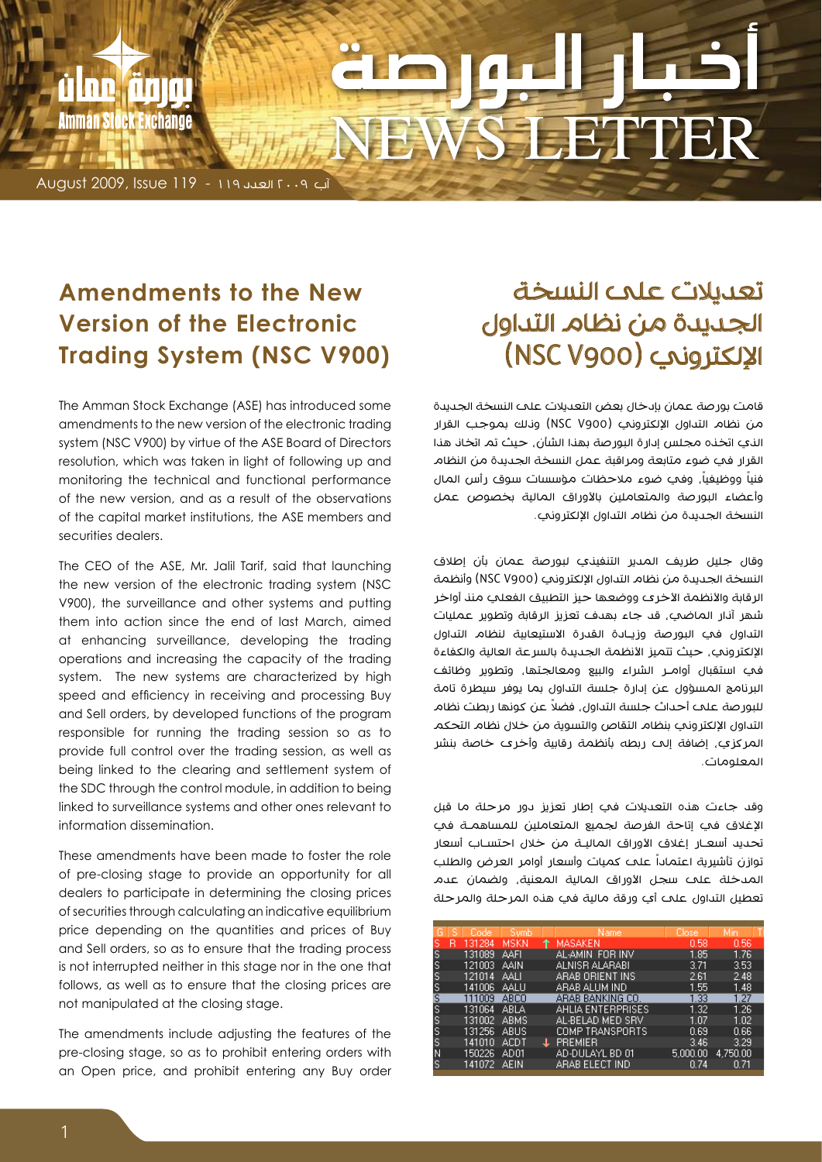# VS LETTER

آب 2009 العدد 119 - 119 Issue 2009, August

rilan anın

Amman Stock Exchange

# **Amendments to the New Version of the Electronic Trading System (NSC V900)**

The Amman Stock Exchange (ASE) has introduced some amendments to the new version of the electronic trading system (NSC V900) by virtue of the ASE Board of Directors resolution, which was taken in light of following up and monitoring the technical and functional performance of the new version, and as a result of the observations of the capital market institutions, the ASE members and securities dealers.

The CEO of the ASE, Mr. Jalil Tarif, said that launching the new version of the electronic trading system (NSC V900), the surveillance and other systems and putting them into action since the end of last March, aimed at enhancing surveillance, developing the trading operations and increasing the capacity of the trading system. The new systems are characterized by high speed and efficiency in receiving and processing Buy and Sell orders, by developed functions of the program responsible for running the trading session so as to provide full control over the trading session, as well as being linked to the clearing and settlement system of the SDC through the control module, in addition to being linked to surveillance systems and other ones relevant to information dissemination.

These amendments have been made to foster the role of pre-closing stage to provide an opportunity for all dealers to participate in determining the closing prices of securities through calculating an indicative equilibrium price depending on the quantities and prices of Buy and Sell orders, so as to ensure that the trading process is not interrupted neither in this stage nor in the one that follows, as well as to ensure that the closing prices are not manipulated at the closing stage.

The amendments include adjusting the features of the pre-closing stage, so as to prohibit entering orders with an Open price, and prohibit entering any Buy order

# تعديالت على النسخة الجديدة من نظام التداول اإللكتروني )900V NSC )

قامت بورصة عمان بإدخال بعض التعديالت على النسخة الجديدة من نظام التداول اإللكتروني )900V NSC )وذلك بموجب القرار الذي اتخذه مجلس إدارة البورصة بهذا الشأن، حيث تم اتخاذ هذا القرار في ضوء متابعة ومراقبة عمل النسخة الجديدة من النظام فنياً ووظيفياً، وفي ضوء ملاحظات مؤسسات سوق رأس المال وأعضاء البورصة والمتعاملين باألوراق المالية بخصوص عمل النسخة الجديدة من نظام التداول اإللكتروني.

وقال جليل طريف المدير التنفيذي لبورصة عمان بأن إطالق النسخة الجديدة من نظام التداول اإللكتروني )900V NSC )وأنظمة الرقابة والأنظمة الأخرى ووضعها حيز التطبيق الفعلب منذ أواخر شهر آذار الماضي، قد جاء بهدف تعزيز الرقابة وتطوير عمليات التداول في البورصة وزيـادة القدرة الاستيعابية لنظام التداول الإلكتروني، حيث تتميز الأنظمة الجديدة بالسرعة العالية والكفاءة في استقبال أوامــر الشراء والبيع ومعالجتها، وتطوير وظائف البرنامج المسؤول عن إدارة جلسة التداول بما يوفر سيطرة تامة ً للبورصة على أحداث جلسة التداول، فضال عن كونها ربطت نظام التداول اإللكتروني بنظام التقاص والتسوية من خالل نظام التحكم المركزي، إضافة إلى ربطه بأنظمة رقابية وأخرى خاصة بنشر المعلومات.

وقد جاءت هذه التعديالت في إطار تعزيز دور مرحلة ما قبل اإلغالق في إتاحة الفرصة لجميع المتعاملين للمساهمـة في تحديد أسعـار إغالق األوراق الماليـة من خالل احتسـاب أسعار توازن تأشيرية اعتماداً على كميات وأسعار أوامر العرض والطلب المدخلة على سجل األوراق المالية المعنية، ولضمان عدم تعطيل التداول على أي ورقة مالية في هذه المرحلة والمرحلة

| G  | s | Code   | 'Symb,      |   | Name,                    | Close,   | Min      |  |
|----|---|--------|-------------|---|--------------------------|----------|----------|--|
| s  | R | 131284 | MSKN        |   | MASAKEN                  | 0.58     | 0.56     |  |
| s  |   | 131089 | AAFI        |   | AL-AMIN FOR INV          | 1.85     | 1.76     |  |
| S, |   | 121003 | AAIN        |   | ALNISR ALARABI           | 3.71     | 3.53     |  |
| s  |   | 121014 | AALI        |   | ARAB ORIENT INS          | 2.61     | 2.48     |  |
| s  |   | 141006 | AALLI       |   | ARAB ALUM IND            | 1.55     | 1.48     |  |
| s  |   | 111009 | ABCO        |   | ARAB BANKING CO.         | 1.33     | 1.27     |  |
| s  |   | 131064 | ABLA        |   | <u>AHLIA ENTERPRISES</u> | 1.32     | 1.26     |  |
| s  |   | 131002 | <b>ABMS</b> |   | AL-BELAD MED SRV         | 1.07     | 1.02     |  |
| S  |   | 131256 | ABUS        |   | COMP TRANSPORTS          | 0.69     | 0.66     |  |
| S  |   | 141010 | ACDT        | Æ | <b>PREMIER</b>           | 3.46     | 3.29     |  |
| Ν  |   | 150226 | AD01        |   | AD-DULAYL BD 01          | 5.000.00 | 4.750.00 |  |
| s  |   | 141072 | AEIN        |   | ARAB ELECT IND           | 0.74     | 0.71     |  |
|    |   |        |             |   |                          |          |          |  |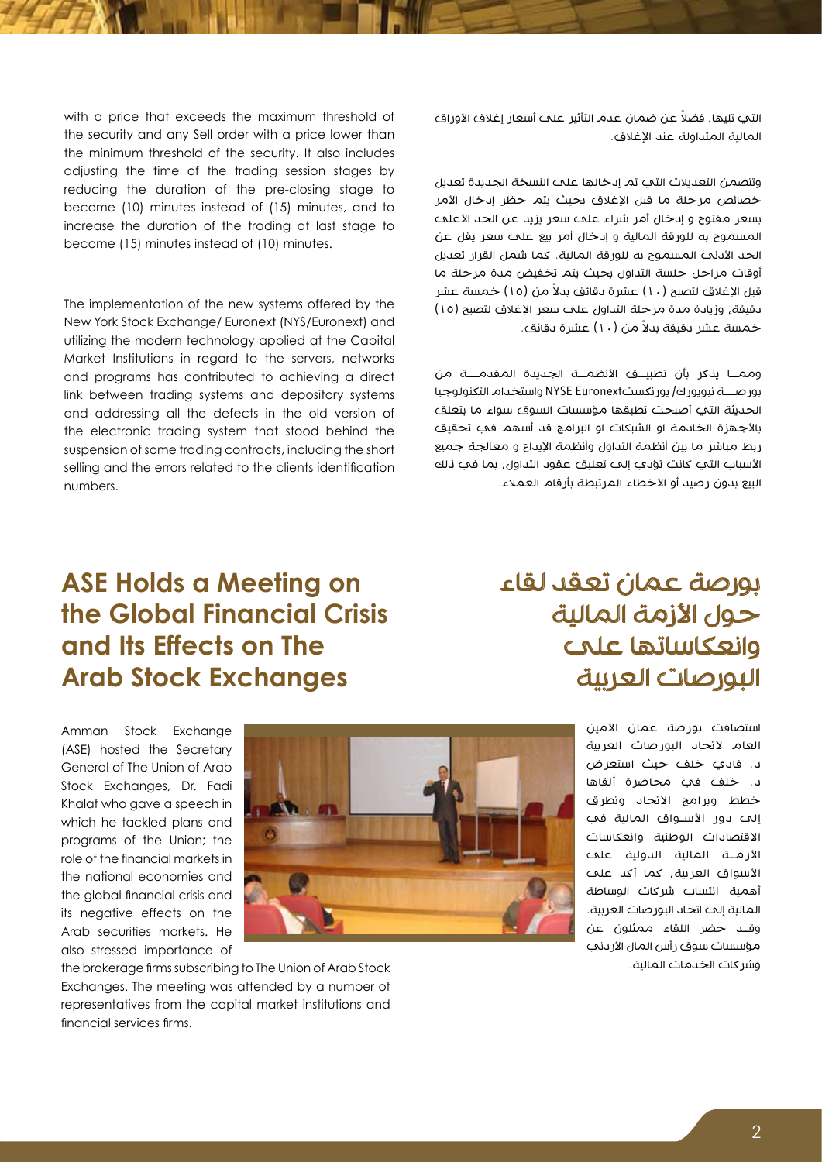التي تليها، فضلاً عن ضمان عدم التأثير علم أسعار إغلاق الأوراق المالية المتداولة عند الإغلاق.

وتتضمن التعديالت التي تم إدخالها على النسخة الجديدة تعديل خصائص مرحلة ما قبل الإغلاق بحيث يتم حظر إدخال الأمر بسعر مفتوح و إدخال أمر شراء علم سعر يزيد عن الحد الأعلم المسموح به للورقة المالية و إدخال أمر بيع على سعر يقل عن الحد الأدنى المسموح به للورقة المالية. كما شمل القرار تعديل أوقات مراحل جلسة التداول بحيث يتم تخفيض مدة مرحلة ما قبل الإغلاق لتصبح (١٠) عشرة دقائق بدلاً من (١٥) خمسة عشر دقيقة، وزيادة مدة مرحلة التداول علم سعر الإغلاق لتصبح (١٥) خمسة عشر دقيقة بدلاً من (١٠) عشرة دقائق.

وممــا يذكر بأن تطبيـــق الأنظمـــة الجديدة المقدمـــة من بورصـــة نيويورك/ يورنكستEuronext NYSE واستخدام التكنولوجيا الحديثة التي أصبحت تطبقها مؤسسات السوق سواء ما يتعلق باألجهزة الخادمة او الشبكات او البرامج قد أسهم في تحقيق ربط مباشر ما بين أنظمة التداول وأنظمة اإليداع و معالجة جميع األسباب التي كانت تؤدي إلى تعليق عقود التداول، بما في ذلك البيع بدون رصيد أو الأخطاء المرتبطة بأرقام العملاء.

#### with a price that exceeds the maximum threshold of the security and any Sell order with a price lower than the minimum threshold of the security. It also includes adjusting the time of the trading session stages by reducing the duration of the pre-closing stage to become (10) minutes instead of (15) minutes, and to increase the duration of the trading at last stage to become (15) minutes instead of (10) minutes.

The implementation of the new systems offered by the New York Stock Exchange/ Euronext (NYS/Euronext) and utilizing the modern technology applied at the Capital Market Institutions in regard to the servers, networks and programs has contributed to achieving a direct link between trading systems and depository systems and addressing all the defects in the old version of the electronic trading system that stood behind the suspension of some trading contracts, including the short selling and the errors related to the clients identification numbers.

## **ASE Holds a Meeting on the Global Financial Crisis and Its Effects on The Arab Stock Exchanges**

بورصة عمان تعقد لقاء حول الأزمة المالية وانعكاساتها على البورصات العربية

> استضافت بورصة عمان الأمين العام التحاد البورصات العربية د. فادي خلف حيث استعرض د. خلف في محاضرة ألقاها خطط وبرامج االتحاد وتطرق إلى دور الأسـواق المالية في االقتصادات الوطنية وانعكاسات الأزمـــة المالية الدولية علمـــ األسواق العربية، كما أكد على أهمية انتساب شركات الوساطة المالية إلى اتحاد البورصات العربية. وق��د حضر اللقاء ممثلون عن مؤسسات سوق ر أس المال الأر دني وشركات الخدمات المالية.

Amman Stock Exchange (ASE) hosted the Secretary General of The Union of Arab Stock Exchanges, Dr. Fadi Khalaf who gave a speech in which he tackled plans and programs of the Union; the role of the financial markets in the national economies and the global financial crisis and its negative effects on the Arab securities markets. He also stressed importance of



the brokerage firms subscribing to The Union of Arab Stock Exchanges. The meeting was attended by a number of representatives from the capital market institutions and financial services firms.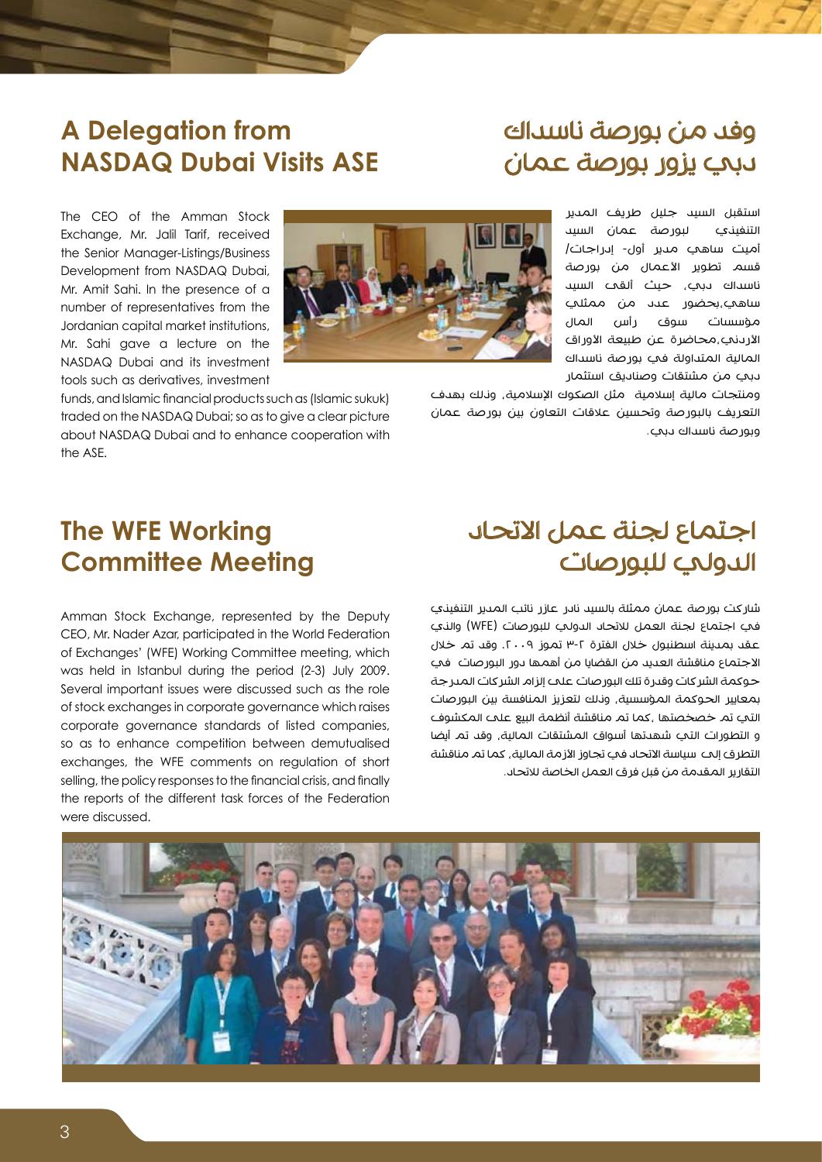## وفد من بورصة ناسداك دبي يزور بورصة عمان

استقبل السيد جليل طريف المدير التنفيذي لبورصة عمان السيد أميت ساهي مدير أول- إدراجات/ قسم تطوير الأعمال من بورصة ناسداك دبي، حيث ألقى السيد ساهي،بحضور عدد من ممثلي مؤسسات سوق رأس المال الأردنب،محاضرة عن طبيعة الأوراق المالية المتداولة في بورصة ناسداك دبي من مشتقات وصناديق استثمار



ومنتجات مالية إسالمية مثل الصكوك اإلسالمية، وذلك بهدف التعريف بالبورصة وتحسين عالقات التعاون بين بورصة عمان وبورصة ناسداك دبي.

Exchange, Mr. Jalil Tarif, received the Senior Manager-Listings/Business Development from NASDAQ Dubai, Mr. Amit Sahi. In the presence of a number of representatives from the Jordanian capital market institutions, Mr. Sahi gave a lecture on the NASDAQ Dubai and its investment tools such as derivatives, investment

The CEO of the Amman Stock

**A** Delegation from

**NASDAQ Dubai Visits ASE** 

funds, and Islamic financial products such as (Islamic sukuk) traded on the NASDAQ Dubai; so as to give a clear picture about NASDAQ Dubai and to enhance cooperation with the ASE.

## **The WFE Working Committee Meeting**

Amman Stock Exchange, represented by the Deputy CEO, Mr. Nader Azar, participated in the World Federation of Exchanges' (WFE) Working Committee meeting, which was held in Istanbul during the period (2-3) July 2009. Several important issues were discussed such as the role of stock exchanges in corporate governance which raises corporate governance standards of listed companies, so as to enhance competition between demutualised exchanges, the WFE comments on regulation of short selling, the policy responses to the financial crisis, and finally the reports of the different task forces of the Federation were discussed.

# اجتماع لجنة عمل االتحاد الدولي للبورصات

شاركت بورصة عمان ممثلة بالسيد نادر عازر نائب المدير التنفيذي في اجتماع لجنة العمل لالتحاد الدولي للبورصات )WFE )والذي عقد بمدينة اسطنبول خلال الفترة ٢-٣ تموز ٢٠٠٩. وقد تم خلال االجتماع مناقشة العديد من القضايا من أهمها دور البورصات في حوكمة الشركات وقدرة تلك البورصات على إلزام الشركات المدرجة بمعايير الحوكمة المؤسسية، وذلك لتعزيز المنافسة بين البورصات التي تم خصخصتها ،كما تم مناقشة أنظمة البيع على المكشوف و التطورات التي شهدتها أسواق المشتقات المالية، وقد تم أيضا التطرق إلى سياسة الاتحاد في تجاوز الأزمة المالية، كما تم مناقشة التقارير المقدمة من قبل فرق العمل الخاصة لالتحاد.

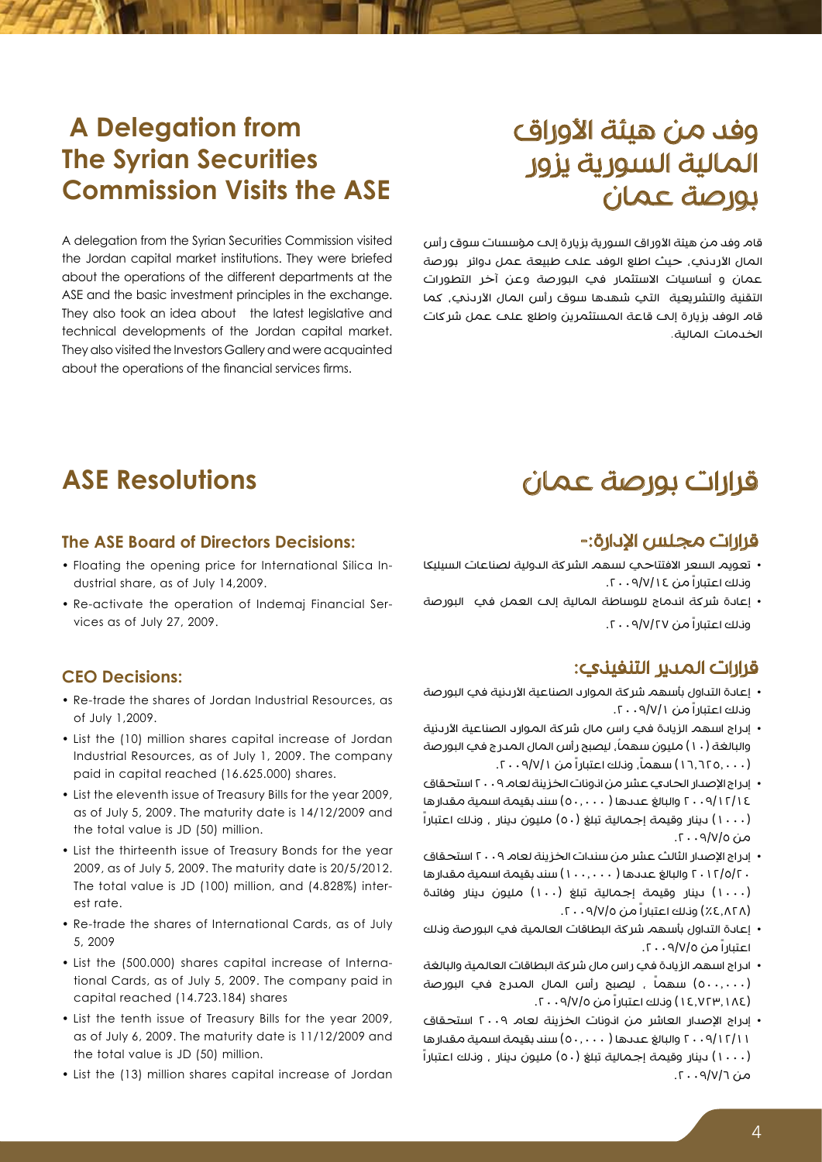# وفد من هيئة الأوراق المالية السورية يزور بورصة عمان

قام وفد من هيئة الأوراق السورية بزيارة إلى مؤسسات سوق رأس المال الأردني، حيث اطلع الوفد علم طبيعة عمل دوائر بورصة عمان و أساسيات االستثمار في البورصة وعن آخر التطورات التقنية والتشريعية التي شهدها سوق رأس المال األردني، كما قام الوفد بزيارة إلى قاعة المستثمرين واطلع على عمل شركات الخدمات المالية.

## **ASE Resolutions**

**A Delegation from** 

**The Syrian Securities** 

**Commission Visits the ASE** 

A delegation from the Syrian Securities Commission visited the Jordan capital market institutions. They were briefed about the operations of the different departments at the ASE and the basic investment principles in the exchange. They also took an idea about the latest legislative and technical developments of the Jordan capital market. They also visited the Investors Gallery and were acauainted about the operations of the financial services firms.

#### **The ASE Board of Directors Decisions:**

- Floating the opening price for International Silica Industrial share, as of July 14,2009.
- Re-activate the operation of Indemaj Financial Services as of July 27, 2009.

#### **CEO** Decisions:

- Re-trade the shares of Jordan Industrial Resources, as of July 1,2009.
- List the (10) million shares capital increase of Jordan Industrial Resources, as of July 1, 2009. The company paid in capital reached (16.625.000) shares.
- List the eleventh issue of Treasury Bills for the year 2009, as of July 5, 2009. The maturity date is  $14/12/2009$  and the total value is JD (50) million.
- List the thirteenth issue of Treasury Bonds for the year 2009, as of July 5, 2009. The maturity date is 20/5/2012. The total value is JD (100) million, and (4.828%) inter-<br>est rate.
- Re-trade the shares of International Cards, as of July 5, 2009
- tional Cards, as of July 5, 2009. The company paid in • List the (500.000) shares capital increase of Internacapital reached (14.723.184) shares
- List the tenth issue of Treasury Bills for the year 2009, as of July 6, 2009. The maturity date is  $11/12/2009$  and the total value is JD (50) million.
- List the (13) million shares capital increase of Jordan

#### قرارات مجلس الإدارة:-

قرارات بورصة عمان

- تعويم السعر الافتتاحي لسهم الشركة الدولية لصناعات السيليكا وذلك اعتباراً من .2009/7/14
- إعادة شركة اندماج للوساطة المالية إلى العمل في البورصة وذلك اعتباراً من .2009/7/27

#### قرارات المدير التنفيذي:

- إعادة التداول بأسهم شركة الموارد الصناعية األردنية في البورصة وذلك اعتباراً من .2009/7/1
- إدراج اسهم الزيادة في راس مال شركة الموارد الصناعية األردنية والبالغة (١٠) مليون سهماً, ليصبح رأس المال المدرج في البور صة .۰۰٫۱۲۲۵ ) سهماً، وناك اعتباراً من ۰۹/۷/۱. ۲۰۰۹/
- إدراج الإصدار الحادي عشر من انونات الخزينة لعام ٢٠٠٩ استحقاق 2009/12/14 والبالغ عددها ) 50.000( سند بقيمة اسمية مقدارها )1000( دينار وقيمة إجمالية تبلغ )50( مليون دينار ، وذلك اعتباراً من ٥/٧/٩/٠٠٦.
- إدراج اإلصدار الثالث عشر من سندات الخزينة لعام 2009 استحقاق 2012/5/20 والبالغ عددها ) 100.000( سند بقيمة اسمية مقدارها )1000( دينار وقيمة إجمالية تبلغ )100( مليون دينار وفائدة )%4.828( وذلك اعتباراً من .2009/7/5
- إعادة التداول بأسهم شركة البطاقات العالمية في البورصة وذلك اعتباراً من .2009/7/5
- ادراج اسهم الزيادة في راس مال شركة البطاقات العالمية والبالغة (٥٠٠,٠٠٠) سهماً , ليصبح رأس المال المدرج في البورصة )14.723.184( وذلك اعتباراً من .2009/7/5
- إدراج اإلصدار العاشر من اذونات الخزينة لعام 2009 استحقاق 2009/12/11 والبالغ عددها ) 50.000( سند بقيمة اسمية مقدارها )1000( دينار وقيمة إجمالية تبلغ )50( مليون دينار ، وذلك اعتباراً من ١/٧/٦. ٢٠٠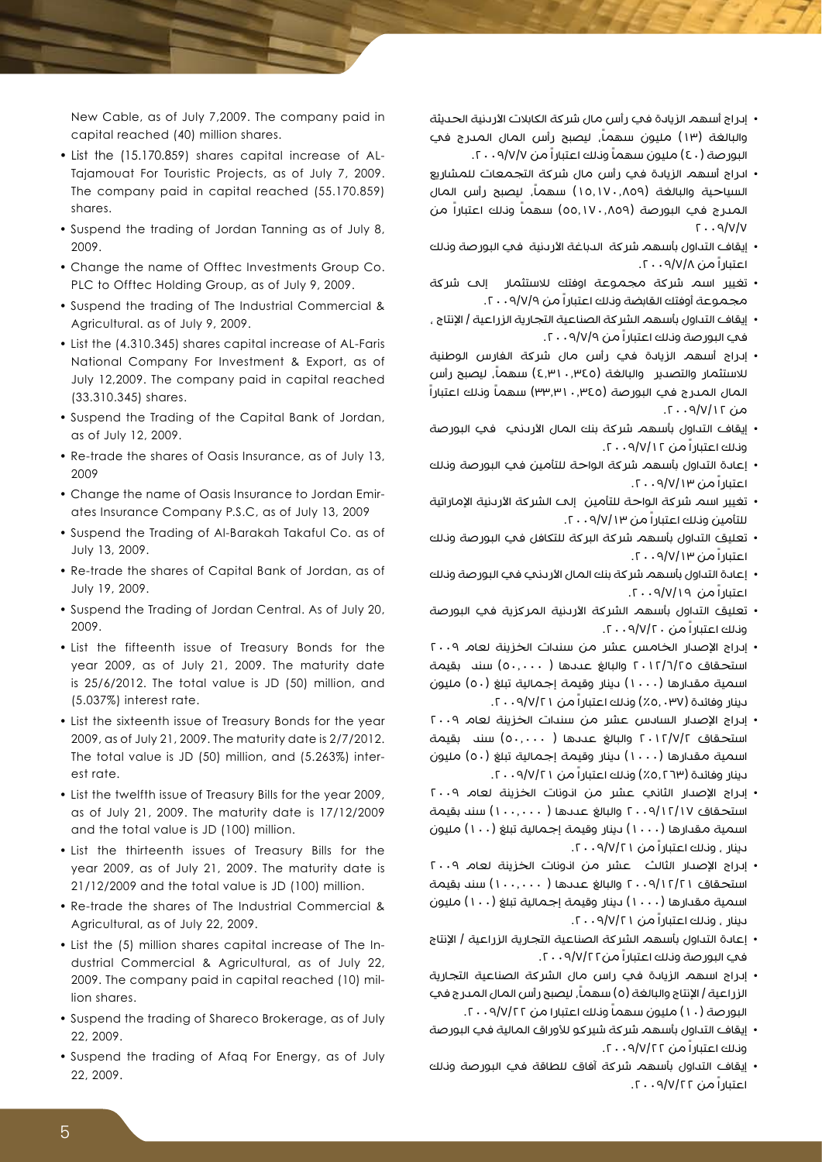- إدراج أسهم الزيادة في رأس مال شركة الكابالت األردنية الحديثة والبالغة (١٣) مليون سهماً، ليصبح رأس المال المدرج في البور صة (٤٠) مليون سهماً ونلك اعتباراً من ٩/٧/٧ . ٢٠.
- ادراج أسهم الزيادة في رأس مال شركة التجمعات للمشاريع السياحية والبالغة (١٥,١٧٠,٨٥٩) سهماً، ليصبح رأس المال المــــرج في البورصة (٥٥,١٧٠,٨٥٩) سهماً ونـلك اعتباراً من  $T.9/V/V$
- إيقاف التداول بأسهم شركة الدباغة الأردنية في البورصة ونلك اعتباراً من .2009/7/8
- تغيير اسم شركة مجموعة اوفتك لالستثمار إلى شركة مجموعة أوفتك القابضة وذلك اعتباراً من .2009/7/9
- إيقاف التداول بأسهم الشركة الصناعية التجارية الزراعية / اإلنتاج ، في البورصة وذلك اعتباراً من .2009/7/9
- إدراج أسهم الزيادة في رأس مال شركة الفارس الوطنية للاستثمار والتصدير والبالغة (٤,٣١٠,٣٤٥) سهماً، ليصبح رأس المال المدرج في البورصة (٣٣,٣١٠,٣٤٥) سهماً وناك اعتباراً  $\alpha$ من ١٦/٧/١٢ . ٦.
- إيقاف التداول بأسهم شركة بنك المال الأردني في البورصة وذلك اعتباراً من .2009/7/12
- إعادة التداول بأسهم شركة الواحة للتأمين في البورصة وذلك اعتباراً من .2009/7/13
- تغيير اسم شركة الواحة للتأمين إلى الشركة الأردنية الإماراتية للتأمين وذلك اعتباراً من .2009/7/13
- تعليق التداول بأسهم شركة البركة للتكافل في البورصة وذلك اعتباراً من .2009/7/13
- إعادة التداول بأسهم شركة بنك المال األردني في البورصة وذلك اعتباراً من .2009/7/19
- تعليق التداول بأسهم الشركة األردنية المركزية في البورصة وذلك اعتباراً من .2009/7/20
- إدراج الإصدار الخامس عشر من سندات الخزينة لعام ٢٠٠٩ استحقاق ٢٠١٢/٦/٢٥ والبالغ عددها ( ٥٠,٠٠٠) سند بقيمة اسمية مقدارها (١٠٠٠) دينار وقيمة إجمالية تبلغ (٥٠) مليون دينار وفائدة )%5.037( وذلك اعتباراً من .2009/7/21
- إدراج اإلصدار السادس عشر من سندات الخزينة لعام 2009 استحقاق 2012/7/2 والبالغ عددها ) 50.000( سند بقيمة اسمية مقدارها (١٠٠٠) دينار وقيمة إجمالية تبلغ (٥٠) مليون دينار وفائدة )%5.263( وذلك اعتباراً من .2009/7/21
- إدراج اإلصدار الثاني عشر من اذونات الخزينة لعام 2009 استحقاق 2009/12/17 والبالغ عددها ) 100.000( سند بقيمة اسمية مقدارها (١٠٠٠) دينار وقيمة إجمالية تبلغ (١٠٠) مليون دينار ، وذلك اعتباراً من .2009/7/21
- إدراج اإلصدار الثالث عشر من اذونات الخزينة لعام 2009 استحقاق 2009/12/21 والبالغ عددها ) 100.000( سند بقيمة اسمية مقدارها (١٠٠٠) دينار وقيمة إجمالية تبلغ (١٠٠) مليون دينار ، وذلك اعتباراً من .2009/7/21
- إعادة التداول بأسهم الشركة الصناعية التجارية الزراعية / اإلنتاج في البورصة وذلك اعتباراً من.2009/7/22
- إدراج اسهم الزيادة في راس مال الشركة الصناعية التجارية الزراعية | الإنتاج والبالغة (٥) سهماً, ليصبح رأس المال المدرج في البور صة (١٠) مليون سهماً وناك اعتبارا من ٢٠٠٩/٧/٢٢.
- إيقاف التداول بأسهم شركة شيركو لألوراق المالية في البورصة وذلك اعتباراً من .2009/7/22
- إيقاف التداول بأسهم شركة آفاق للطاقة في البورصة وذلك اعتباراً من .2009/7/22

New Cable, as of July 7,2009. The company paid in capital reached (40) million shares.

- Tajamouat For Touristic Projects, as of July 7, 2009. • List the (15.170.859) shares capital increase of AL-The company paid in capital reached (55.170.859) .shares
- Suspend the trading of Jordan Tanning as of July 8, 2009.
- Change the name of Offtec Investments Group Co. PLC to Offtec Holding Group, as of July 9, 2009.
- Suspend the trading of The Industrial Commercial & Agricultural. as of July 9, 2009.
- List the (4.310.345) shares capital increase of AL-Faris National Company For Investment & Export, as of July 12,2009. The company paid in capital reached (33.310.345) shares.
- Suspend the Trading of the Capital Bank of Jordan, as of July 12, 2009.
- Re-trade the shares of Oasis Insurance, as of July 13, 2009
- ates Insurance Company P.S.C, as of July 13, 2009 • Change the name of Oasis Insurance to Jordan Emir-
- Suspend the Trading of Al-Barakah Takaful Co. as of July 13, 2009.
- Re-trade the shares of Capital Bank of Jordan, as of July 19, 2009.
- Suspend the Trading of Jordan Central. As of July 20, 2009.
- List the fifteenth issue of Treasury Bonds for the year 2009, as of July 21, 2009. The maturity date is 25/6/2012. The total value is JD (50) million, and  $(5.037%)$  interest rate.
- List the sixteenth issue of Treasury Bonds for the year 2009, as of July 21, 2009. The maturity date is 2/7/2012. The total value is JD (50) million, and (5.263%) inter-<br>est rate.
- List the twelfth issue of Treasury Bills for the year 2009. as of July 21, 2009. The maturity date is  $17/12/2009$ and the total value is JD (100) million.
- List the thirteenth issues of Treasury Bills for the year 2009, as of July 21, 2009. The maturity date is  $21/12/2009$  and the total value is JD (100) million.
- Re-trade the shares of The Industrial Commercial & Agricultural, as of July 22, 2009.
- dustrial Commercial & Agricultural, as of July 22, • List the (5) million shares capital increase of The In-2009. The company paid in capital reached (10) mil-<br>lion shares.
- Suspend the trading of Shareco Brokerage, as of July 2009.
- Suspend the trading of Afaq For Energy, as of July 2009.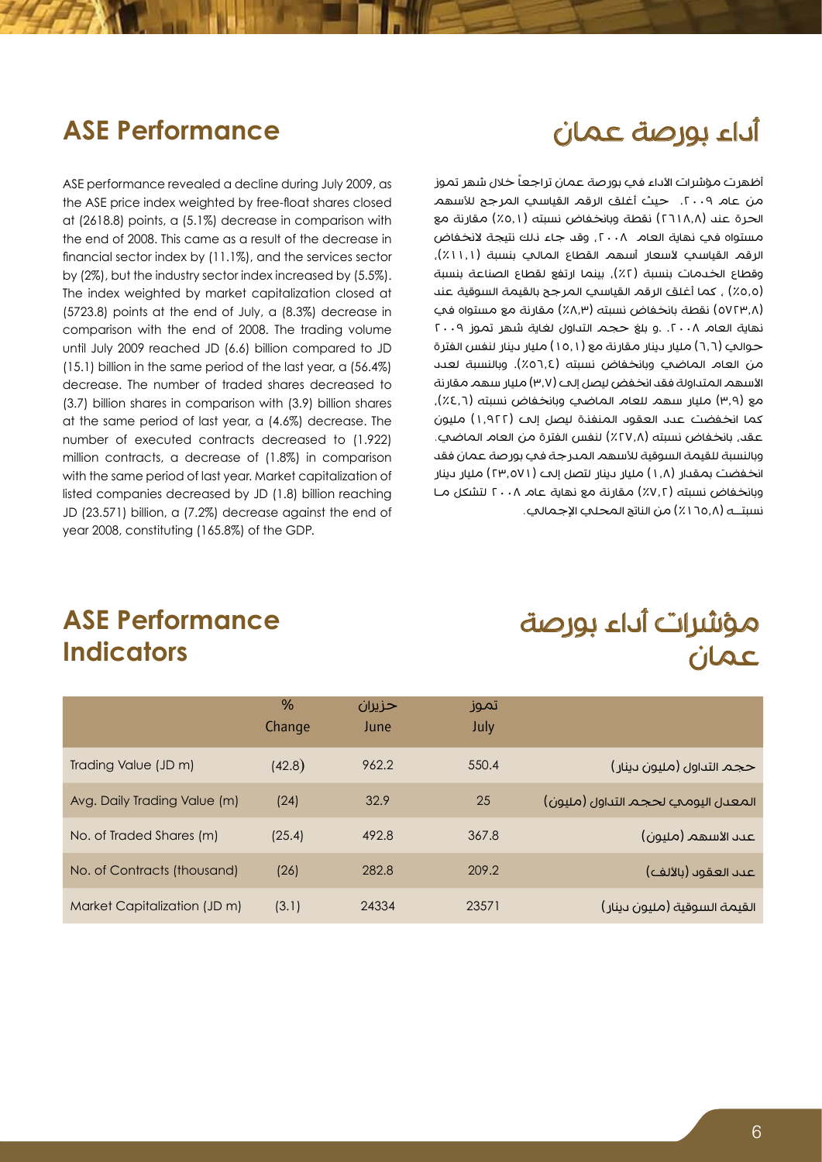# أداء بورصة عمان

#### **ASE Performance**

ASE performance revealed a decline during July 2009, as the ASE price index weighted by free-float shares closed at  $(2618.8)$  points, a  $(5.1%)$  decrease in comparison with the end of 2008. This came as a result of the decrease in financial sector index by  $(11.1\%)$ , and the services sector by  $(2\%)$ , but the industry sector index increased by  $(5.5\%)$ . The index weighted by market capitalization closed at  $(5723.8)$  points at the end of July, a  $(8.3\%)$  decrease in comparison with the end of 2008. The trading volume until July 2009 reached JD (6.6) billion compared to JD  $(15.1)$  billion in the same period of the last year, a  $(56.4\%)$ decrease. The number of traded shares decreased to  $(3.7)$  billion shares in comparison with  $(3.9)$  billion shares at the same period of last year, a  $(4.6%)$  decrease. The number of executed contracts decreased to (1.922) million contracts, a decrease of (1.8%) in comparison with the same period of last year. Market capitalization of listed companies decreased by JD (1.8) billion reaching JD (23.571) billion, a (7.2%) decrease against the end of year 2008, constituting (165.8%) of the GDP.

أظهرت مؤشرات الأداء في بورصة عمان تراجعاً خلال شهر تموز من عام ٢٠٠٩. حيث أغلق الرقم القياسي المرجح للأسهم الحرة عند (٢٦١٨,٨) نقطة وبانخفاض نسبته (٥,١٪) مقارنة مع مستواه في نهاية العام ٢٠٠٨، وقد جاء ذلك نتيجة لانخفاض الرقم القياسي لأسعار أسهم القطاع المالي بنسبة (١١.١/٪), وقطاع الخدمات بنسبة (٢٪), بينما ارتفع لقطاع الصناعة بنسبة )%5.5( ، كما أغلق الرقم القياسي المرجح بالقيمة السوقية عند )5723.8( نقطة بانخفاض نسبته )%8.3( مقارنة مع مستواه في نهاية العام ٢٠٠٨. و بلغ حجم التداول لغاية شهر تموز ٢٠٠٩ حوالب (٦,٦) مليار دينار مقارنة مع (١٥,١) مليار دينار لنفس الفترة من العام الماضي وبانخفاض نسبته (٦,٤٥٦.٤). وبالنسبة لعدد الأسهم المتداولة فقد انخفض ليصل إلى (٣٫٧) مليار سهم مقارنة مع (٣,٩) مليار سهم للعام الماضي وبانخفاض نسبته (٤,٦٪). كما انخفضت عدد العقود المنفذة ليصل إلى )1.922( مليون عقد، بانخفاض نسبته (٢٧,٨٪) لنفس الفترة من العام الماضي. وبالنسبة للقيمة السوقية لألسهم المدرجة في بورصة عمان فقد انخفضت بمقدار (١,٨) مليار دينار لتصل إلى (٢٣,٥٧١) مليار دينار وبانخفاض نسبته (٧,٢٪) مقارنة مع نهاية عام ٢٠٠٨ لتشكل مـا نسبتــه (١٦٥,٨٪) من الناتج المحلي الإجمالي.

#### **ASE Performance Indicators**

# مؤشرات أداء بورصة عمان

|                              | %<br>Change | حزبران<br>June | تموز<br>July |                                     |
|------------------------------|-------------|----------------|--------------|-------------------------------------|
| Trading Value (JD m)         | (42.8)      | 962.2          | 550.4        | حجم التداول (مليون دينار)           |
| Avg. Daily Trading Value (m) | (24)        | 32.9           | 25           | المعدل اليوميى لحجم التداول (مليون) |
| No. of Traded Shares (m)     | (25.4)      | 492.8          | 367.8        | عىد الأسهم (مليون)                  |
| No. of Contracts (thousand)  | (26)        | 282.8          | 209.2        | عىد العقود (بالألف)                 |
| Market Capitalization (JD m) | (3.1)       | 24334          | 23571        | القيمة السوقية (مليون دينار)        |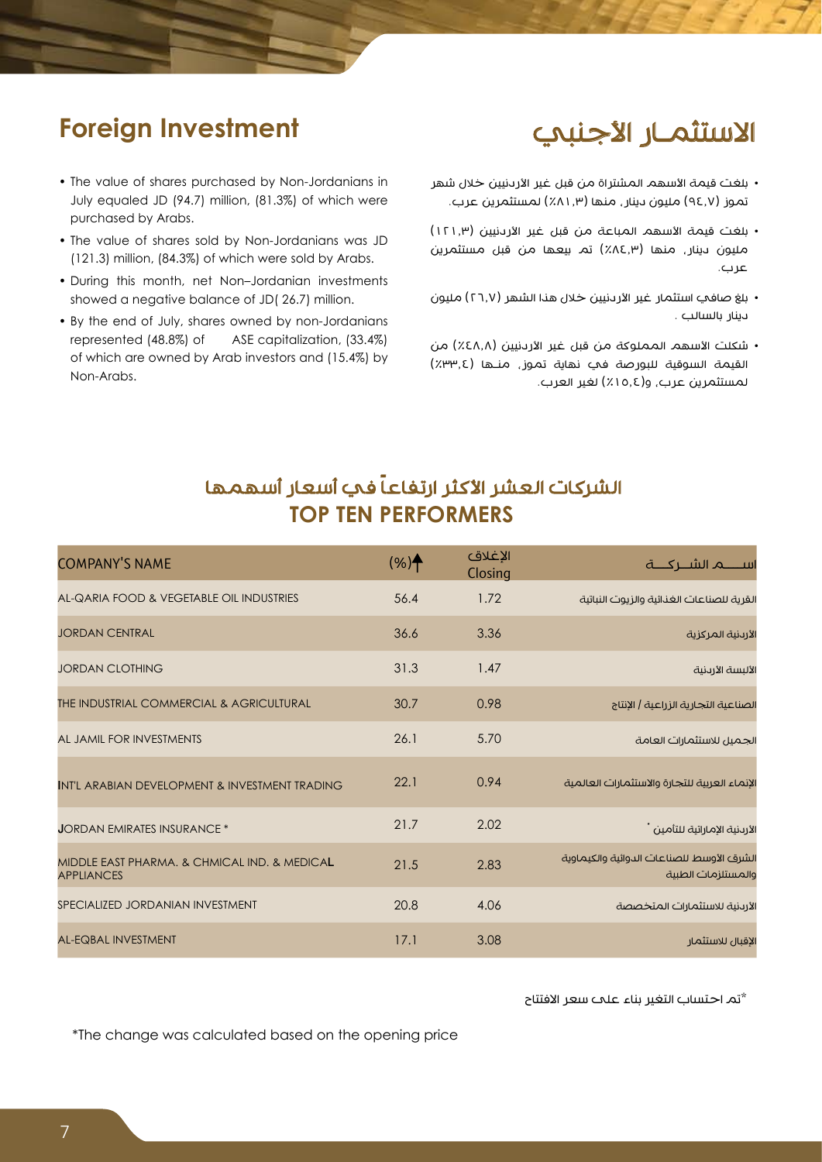# الاستثمـار الأجنبي

## **Foreign Investment**

- The value of shares purchased by Non-Jordanians in July equaled JD (94.7) million, (81.3%) of which were purchased by Arabs.
- The value of shares sold by Non-Jordanians was JD  $(121.3)$  million,  $(84.3\%)$  of which were sold by Arabs.
- During this month, net Non-Jordanian investments showed a negative balance of JD(26.7) million.
- By the end of July, shares owned by non-Jordanians represented (48.8%) of ASE capitalization, (33.4%) of which are owned by Arab investors and (15.4%) by Non-Arabs.
- بلغت قيمة الأسهم المشتراة من قبل غير الأردنيين خلال شهر تموز (٩٤.٧) مليون دينار، منها (٨١.٣) لمستثمرين عرب.
- بلغت قيمة الأسهم المباعة من قبل غير الأردنيين (١٢١.٣) مليون دينار، منها )%84.3( تم بيعها من قبل مستثمرين عرب.
- بلغ صافي استثمار غير الأردنيين خلال هذا الشهر (٢٦,٧) مليون دينار بالسالب .
- شكلت الأسهم المملوكة من قبل غير الأردنيين (٤٨٫٨٪) من القيمة السوقية للبورصة في نهاية تموز، منـها )%33.4( لمستثمرين عرب، و(١٥,٤٪) لغير العرب.

#### الشركات العشر الأكثر ارتفاعاً فيه أسعار أسهمها **TOP TEN PERFORMERS**

| <b>COMPANY'S NAME</b>                                             | $(%)^{\ast}$ | الإغلاق<br>Closing | اســــــــم الشــــركـــــة                                     |
|-------------------------------------------------------------------|--------------|--------------------|-----------------------------------------------------------------|
| AL-QARIA FOOD & VEGETABLE OIL INDUSTRIES                          | 56.4         | 1.72               | القرية للصناعات الغذائية والزيوت النباتية                       |
| <b>JORDAN CENTRAL</b>                                             | 36.6         | 3.36               | الأرىنية المركزية                                               |
| <b>JORDAN CLOTHING</b>                                            | 31.3         | 1.47               | الألبسة الأردنية                                                |
| THE INDUSTRIAL COMMERCIAL & AGRICULTURAL                          | 30.7         | 0.98               | الصناعية التجارية الزراعية   الإنتاج                            |
| AL JAMIL FOR INVESTMENTS                                          | 26.1         | 5.70               | الجميل للاستثمارات العامة                                       |
| INT'L ARABIAN DEVELOPMENT & INVESTMENT TRADING                    | 22.1         | 0.94               | الإنماء العربية للتجارة والاستثمارات العالمية                   |
| <b>JORDAN EMIRATES INSURANCE *</b>                                | 21.7         | 2.02               | الأرىنية الإماراتية للتأمين *                                   |
| MIDDLE EAST PHARMA, & CHMICAL IND, & MEDICAL<br><b>APPLIANCES</b> | 21.5         | 2.83               | الشرق الأوسط للصناعات الدوائية والكيماوية<br>والمستلزمات الطبية |
| SPECIALIZED JORDANIAN INVESTMENT                                  | 20.8         | 4.06               | الأردنية للاستثمارات المتخصصة                                   |
| <b>AL-EQBAL INVESTMENT</b>                                        | 17.1         | 3.08               | الإقبال للاستثمار                                               |

\*تم احتساب التغير بناء على سعر االفتتاح

\*The change was calculated based on the opening price